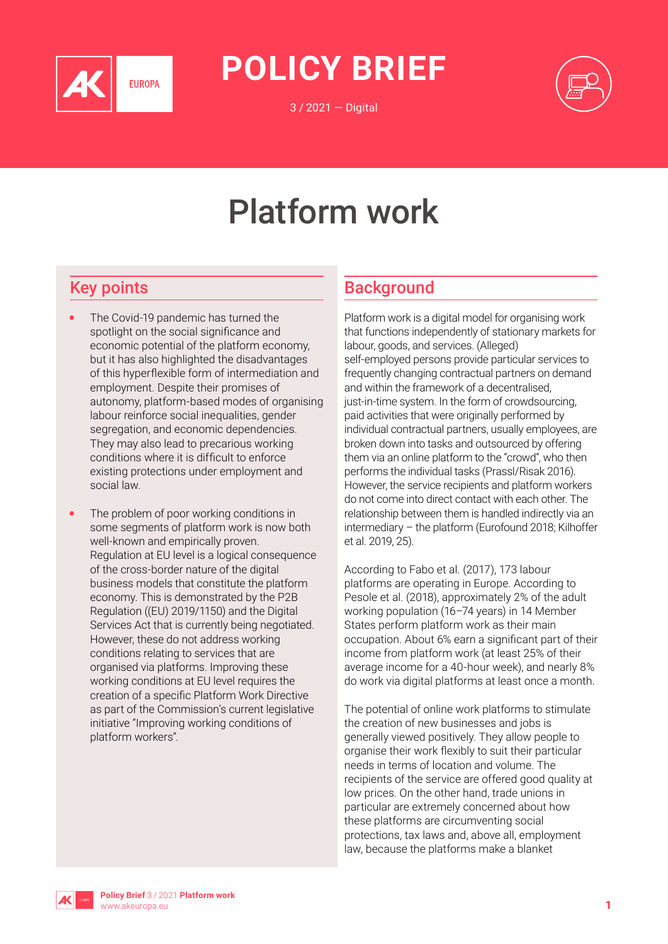

**POLICY BRIEF**

3 / 2021 — Digital



# Platform work

# Key points

- The Covid-19 pandemic has turned the spotlight on the social significance and economic potential of the platform economy, but it has also highlighted the disadvantages of this hyperflexible form of intermediation and employment. Despite their promises of autonomy, platform-based modes of organising labour reinforce social inequalities, gender segregation, and economic dependencies. They may also lead to precarious working conditions where it is difficult to enforce existing protections under employment and social law.
- The problem of poor working conditions in some segments of platform work is now both well-known and empirically proven. Regulation at EU level is a logical consequence of the cross-border nature of the digital business models that constitute the platform economy. This is demonstrated by the P2B Regulation ((EU) 2019/1150) and the Digital Services Act that is currently being negotiated. However, these do not address working conditions relating to services that are organised via platforms. Improving these working conditions at EU level requires the creation of a specific Platform Work Directive as part of the Commission's current legislative initiative "Improving working conditions of platform workers".

## **Background**

Platform work is a digital model for organising work that functions independently of stationary markets for labour, goods, and services. (Alleged) self-employed persons provide particular services to frequently changing contractual partners on demand and within the framework of a decentralised, just-in-time system. In the form of crowdsourcing, paid activities that were originally performed by individual contractual partners, usually employees, are broken down into tasks and outsourced by offering them via an online platform to the "crowd", who then performs the individual tasks (Prassl/Risak 2016). However, the service recipients and platform workers do not come into direct contact with each other. The relationship between them is handled indirectly via an intermediary – the platform (Eurofound 2018; Kilhoffer et al. 2019, 25).

According to Fabo et al. (2017), 173 labour platforms are operating in Europe. According to Pesole et al. (2018), approximately 2% of the adult working population (16–74 years) in 14 Member States perform platform work as their main occupation. About 6% earn a significant part of their income from platform work (at least 25% of their average income for a 40-hour week), and nearly 8% do work via digital platforms at least once a month.

The potential of online work platforms to stimulate the creation of new businesses and jobs is generally viewed positively. They allow people to organise their work flexibly to suit their particular needs in terms of location and volume. The recipients of the service are offered good quality at low prices. On the other hand, trade unions in particular are extremely concerned about how these platforms are circumventing social protections, tax laws and, above all, employment law, because the platforms make a blanket

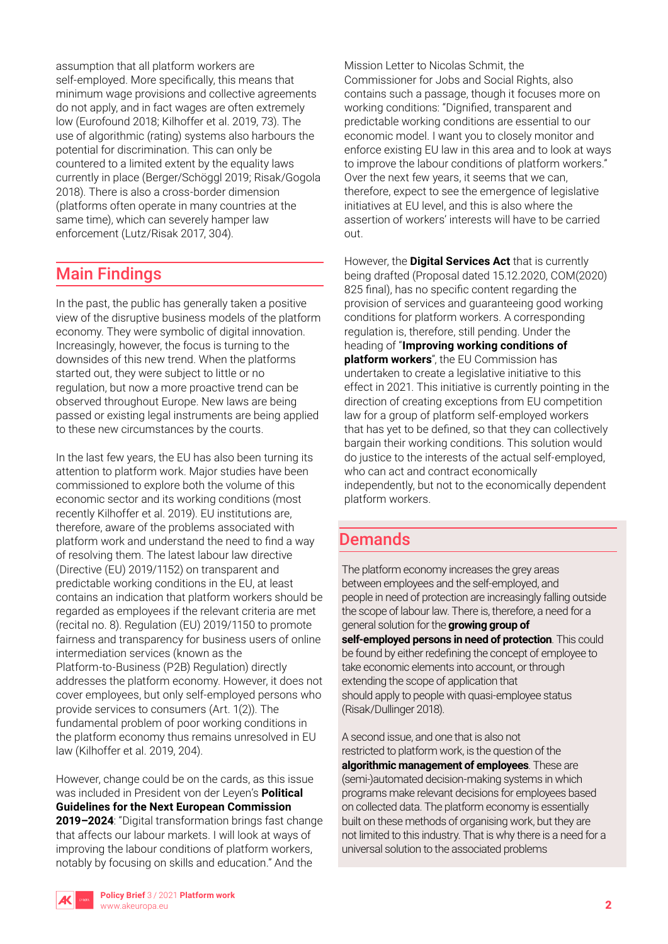assumption that all platform workers are self-employed. More specifically, this means that minimum wage provisions and collective agreements do not apply, and in fact wages are often extremely low (Eurofound 2018; Kilhoffer et al. 2019, 73). The use of algorithmic (rating) systems also harbours the potential for discrimination. This can only be countered to a limited extent by the equality laws currently in place (Berger/Schöggl 2019; Risak/Gogola 2018). There is also a cross-border dimension (platforms often operate in many countries at the same time), which can severely hamper law enforcement (Lutz/Risak 2017, 304).

# Main Findings

In the past, the public has generally taken a positive view of the disruptive business models of the platform economy. They were symbolic of digital innovation. Increasingly, however, the focus is turning to the downsides of this new trend. When the platforms started out, they were subject to little or no regulation, but now a more proactive trend can be observed throughout Europe. New laws are being passed or existing legal instruments are being applied to these new circumstances by the courts.

In the last few years, the EU has also been turning its attention to platform work. Major studies have been commissioned to explore both the volume of this economic sector and its working conditions (most recently Kilhoffer et al. 2019). EU institutions are, therefore, aware of the problems associated with platform work and understand the need to find a way of resolving them. The latest labour law directive (Directive (EU) 2019/1152) on transparent and predictable working conditions in the EU, at least contains an indication that platform workers should be regarded as employees if the relevant criteria are met (recital no. 8). Regulation (EU) 2019/1150 to promote fairness and transparency for business users of online intermediation services (known as the Platform-to-Business (P2B) Regulation) directly addresses the platform economy. However, it does not cover employees, but only self-employed persons who provide services to consumers (Art. 1(2)). The fundamental problem of poor working conditions in the platform economy thus remains unresolved in EU law (Kilhoffer et al. 2019, 204).

However, change could be on the cards, as this issue was included in President von der Leyen's **Political Guidelines for the Next European Commission 2019–2024**: "Digital transformation brings fast change that affects our labour markets. I will look at ways of improving the labour conditions of platform workers, notably by focusing on skills and education." And the

Mission Letter to Nicolas Schmit, the Commissioner for Jobs and Social Rights, also contains such a passage, though it focuses more on working conditions: "Dignified, transparent and predictable working conditions are essential to our economic model. I want you to closely monitor and enforce existing EU law in this area and to look at ways to improve the labour conditions of platform workers." Over the next few years, it seems that we can, therefore, expect to see the emergence of legislative initiatives at EU level, and this is also where the assertion of workers' interests will have to be carried out.

However, the **Digital Services Act** that is currently being drafted (Proposal dated 15.12.2020, COM(2020) 825 final), has no specific content regarding the provision of services and guaranteeing good working conditions for platform workers. A corresponding regulation is, therefore, still pending. Under the heading of "**Improving working conditions of platform workers**", the EU Commission has undertaken to create a legislative initiative to this effect in 2021. This initiative is currently pointing in the direction of creating exceptions from EU competition law for a group of platform self-employed workers that has yet to be defined, so that they can collectively bargain their working conditions. This solution would do justice to the interests of the actual self-employed, who can act and contract economically independently, but not to the economically dependent platform workers.

## Demands

The platform economy increases the grey areas between employees and the self-employed, and people in need of protection are increasingly falling outside the scope of labour law. There is, therefore, a need for a general solution for the **growing group of self-employed persons in need of protection**. This could be found by either redefining the concept of employee to take economic elements into account, or through extending the scope of application that should apply to people with quasi-employee status (Risak/Dullinger 2018).

A second issue, and one that is also not restricted to platform work, is the question of the **algorithmic management of employees**. These are (semi-)automated decision-making systems in which programs make relevant decisions for employees based on collected data. The platform economy is essentially built on these methods of organising work, but they are not limited to this industry. That is why there is a need for a universal solution to the associated problems

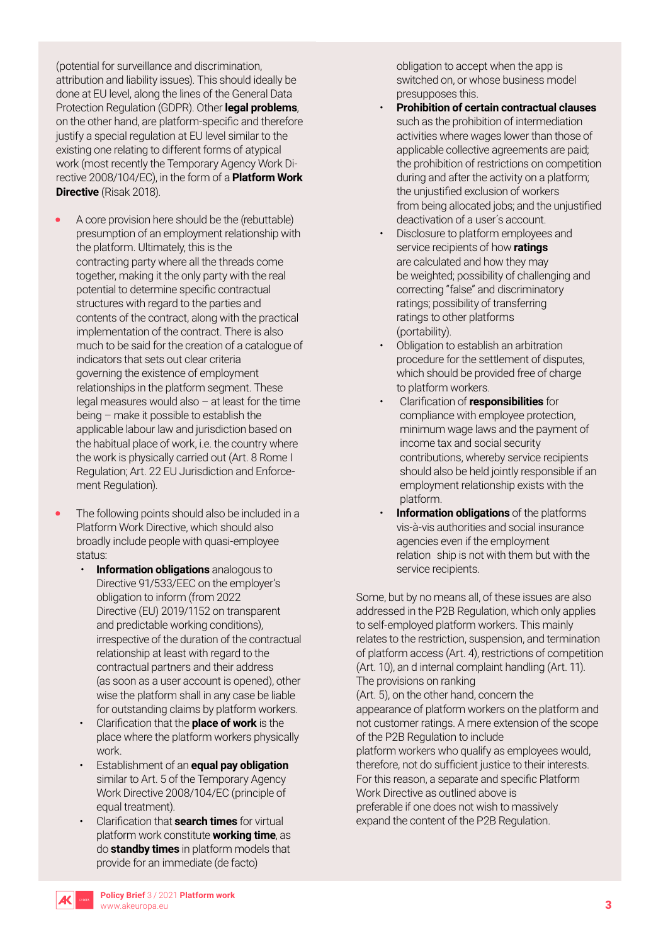(potential for surveillance and discrimination, attribution and liability issues). This should ideally be done at EU level, along the lines of the General Data Protection Regulation (GDPR). Other **legal problems**, on the other hand, are platform-specific and therefore justify a special regulation at EU level similar to the existing one relating to different forms of atypical work (most recently the Temporary Agency Work Directive 2008/104/EC), in the form of a **Platform Work Directive** (Risak 2018).

- A core provision here should be the (rebuttable) presumption of an employment relationship with the platform. Ultimately, this is the contracting party where all the threads come together, making it the only party with the real potential to determine specific contractual structures with regard to the parties and contents of the contract, along with the practical implementation of the contract. There is also much to be said for the creation of a catalogue of indicators that sets out clear criteria governing the existence of employment relationships in the platform segment. These legal measures would also – at least for the time being – make it possible to establish the applicable labour law and jurisdiction based on the habitual place of work, i.e. the country where the work is physically carried out (Art. 8 Rome I Regulation; Art. 22 EU Jurisdiction and Enforcement Regulation).
- The following points should also be included in a Platform Work Directive, which should also broadly include people with quasi-employee status:
	- **Information obligations** analogous to Directive 91/533/EEC on the employer's obligation to inform (from 2022 Directive (EU) 2019/1152 on transparent and predictable working conditions), irrespective of the duration of the contractual relationship at least with regard to the contractual partners and their address (as soon as a user account is opened), other wise the platform shall in any case be liable for outstanding claims by platform workers.
	- Clarification that the **place of work** is the place where the platform workers physically work.
	- Establishment of an **equal pay obligation** similar to Art. 5 of the Temporary Agency Work Directive 2008/104/EC (principle of equal treatment).
	- Clarification that **search times** for virtual platform work constitute **working time**, as do **standby times** in platform models that provide for an immediate (de facto)

obligation to accept when the app is switched on, or whose business model presupposes this.

- **Prohibition of certain contractual clauses**  such as the prohibition of intermediation activities where wages lower than those of applicable collective agreements are paid; the prohibition of restrictions on competition during and after the activity on a platform; the unjustified exclusion of workers from being allocated jobs; and the unjustified deactivation of a user´s account.
- Disclosure to platform employees and service recipients of how **ratings** are calculated and how they may be weighted; possibility of challenging and correcting "false" and discriminatory ratings; possibility of transferring ratings to other platforms (portability).
- Obligation to establish an arbitration procedure for the settlement of disputes, which should be provided free of charge to platform workers.
- Clarification of **responsibilities** for compliance with employee protection, minimum wage laws and the payment of income tax and social security contributions, whereby service recipients should also be held jointly responsible if an employment relationship exists with the platform.
- **Information obligations** of the platforms vis-à-vis authorities and social insurance agencies even if the employment relation ship is not with them but with the service recipients.

Some, but by no means all, of these issues are also addressed in the P2B Regulation, which only applies to self-employed platform workers. This mainly relates to the restriction, suspension, and termination of platform access (Art. 4), restrictions of competition (Art. 10), an d internal complaint handling (Art. 11). The provisions on ranking (Art. 5), on the other hand, concern the appearance of platform workers on the platform and

not customer ratings. A mere extension of the scope of the P2B Regulation to include

platform workers who qualify as employees would, therefore, not do sufficient justice to their interests. For this reason, a separate and specific Platform Work Directive as outlined above is

preferable if one does not wish to massively expand the content of the P2B Regulation.